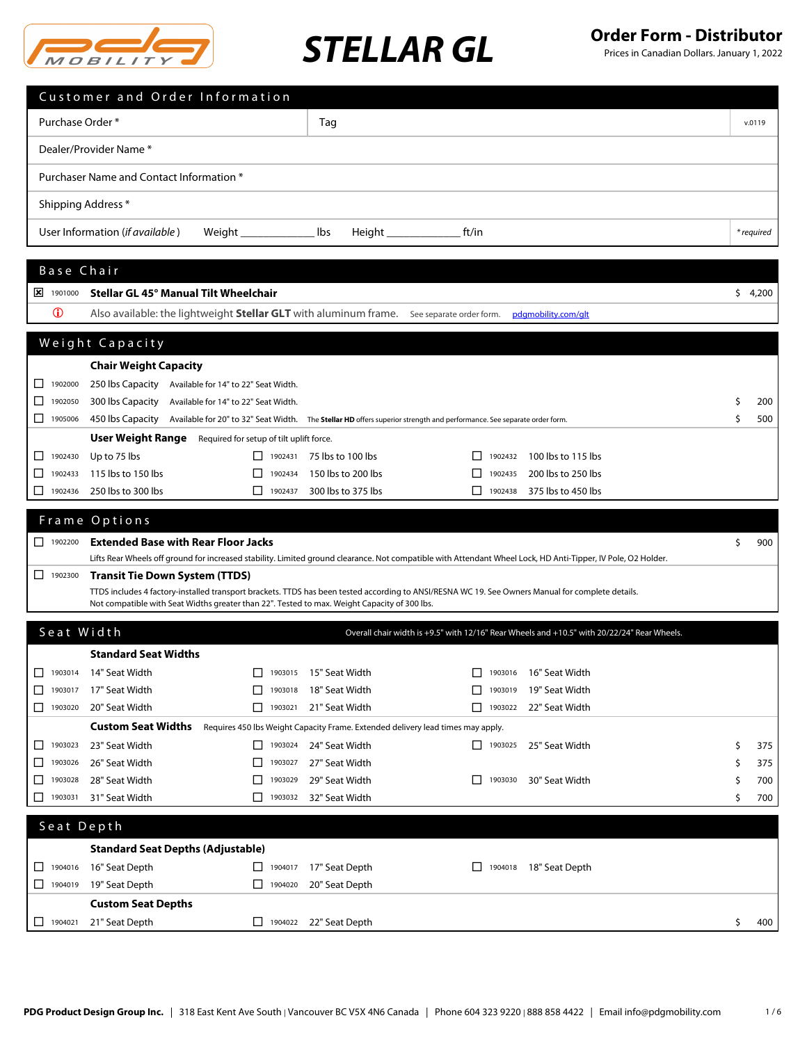

Prices in Canadian Dollars. January 1, 2022

|                                                                   | Customer and Order Information                                                                                                                                |                               |                                                                                 |         |                |                                                                                             |    |            |
|-------------------------------------------------------------------|---------------------------------------------------------------------------------------------------------------------------------------------------------------|-------------------------------|---------------------------------------------------------------------------------|---------|----------------|---------------------------------------------------------------------------------------------|----|------------|
| Purchase Order *                                                  |                                                                                                                                                               |                               | Tag                                                                             |         |                |                                                                                             |    | v.0119     |
|                                                                   | Dealer/Provider Name *                                                                                                                                        |                               |                                                                                 |         |                |                                                                                             |    |            |
|                                                                   |                                                                                                                                                               |                               |                                                                                 |         |                |                                                                                             |    |            |
|                                                                   | Purchaser Name and Contact Information *                                                                                                                      |                               |                                                                                 |         |                |                                                                                             |    |            |
|                                                                   | Shipping Address *                                                                                                                                            |                               |                                                                                 |         |                |                                                                                             |    |            |
|                                                                   | User Information (if available)                                                                                                                               |                               | lbs                                                                             | ft/in   |                |                                                                                             |    | * required |
|                                                                   |                                                                                                                                                               |                               |                                                                                 |         |                |                                                                                             |    |            |
| Base Chair                                                        |                                                                                                                                                               |                               |                                                                                 |         |                |                                                                                             |    |            |
| $\frac{1}{2}$ 1901000                                             | Stellar GL 45° Manual Tilt Wheelchair                                                                                                                         |                               |                                                                                 |         |                |                                                                                             |    | \$4,200    |
| $\mathbf 0$                                                       | Also available: the lightweight <b>Stellar GLT</b> with aluminum frame. See separate order form.                                                              |                               |                                                                                 |         |                | pdgmobility.com/glt                                                                         |    |            |
|                                                                   | Weight Capacity                                                                                                                                               |                               |                                                                                 |         |                |                                                                                             |    |            |
|                                                                   | <b>Chair Weight Capacity</b>                                                                                                                                  |                               |                                                                                 |         |                |                                                                                             |    |            |
| $\Box$ 1902000                                                    | 250 lbs Capacity Available for 14" to 22" Seat Width.                                                                                                         |                               |                                                                                 |         |                |                                                                                             |    |            |
| 1902050<br>ப                                                      | 300 lbs Capacity Available for 14" to 22" Seat Width.                                                                                                         |                               |                                                                                 |         |                |                                                                                             | S  | 200        |
| $\begin{array}{c}\n\boxed{\phantom{0}}\n\end{array}$              | 450 lbs Capacity Available for 20" to 32" Seat Width. The Stellar HD offers superior strength and performance. See separate order form.                       |                               |                                                                                 |         |                |                                                                                             | Ŝ  | 500        |
|                                                                   | <b>User Weight Range</b> Required for setup of tilt uplift force.                                                                                             |                               |                                                                                 |         |                |                                                                                             |    |            |
| $\Box$ 1902430                                                    | Up to 75 lbs                                                                                                                                                  | $\Box$ 1902431                | 75 lbs to 100 lbs                                                               |         | 1902432        | 100 lbs to 115 lbs                                                                          |    |            |
| 1902433<br>$\mathsf{L}$                                           | 115 lbs to 150 lbs                                                                                                                                            | 1902434<br>⊔                  | 150 lbs to 200 lbs                                                              | П       | 1902435        | 200 lbs to 250 lbs                                                                          |    |            |
| $\boxed{\phantom{1}}$ 1902436                                     | 250 lbs to 300 lbs                                                                                                                                            | П.<br>1902437                 | 300 lbs to 375 lbs                                                              | П       | 1902438        | 375 lbs to 450 lbs                                                                          |    |            |
|                                                                   |                                                                                                                                                               |                               |                                                                                 |         |                |                                                                                             |    |            |
|                                                                   | Frame Options                                                                                                                                                 |                               |                                                                                 |         |                |                                                                                             |    |            |
| $\begin{array}{ c c c c c c } \hline \quad & 1902200 \end{array}$ | <b>Extended Base with Rear Floor Jacks</b>                                                                                                                    |                               |                                                                                 |         |                |                                                                                             | S  | 900        |
|                                                                   | Lifts Rear Wheels off ground for increased stability. Limited ground clearance. Not compatible with Attendant Wheel Lock, HD Anti-Tipper, IV Pole, O2 Holder. |                               |                                                                                 |         |                |                                                                                             |    |            |
| $\Box$ 1902300                                                    | <b>Transit Tie Down System (TTDS)</b>                                                                                                                         |                               |                                                                                 |         |                |                                                                                             |    |            |
|                                                                   | TTDS includes 4 factory-installed transport brackets. TTDS has been tested according to ANSI/RESNA WC 19. See Owners Manual for complete details.             |                               |                                                                                 |         |                |                                                                                             |    |            |
|                                                                   | Not compatible with Seat Widths greater than 22". Tested to max. Weight Capacity of 300 lbs.                                                                  |                               |                                                                                 |         |                |                                                                                             |    |            |
| Seat Width                                                        |                                                                                                                                                               |                               |                                                                                 |         |                | Overall chair width is +9.5" with 12/16" Rear Wheels and +10.5" with 20/22/24" Rear Wheels. |    |            |
|                                                                   | <b>Standard Seat Widths</b>                                                                                                                                   |                               |                                                                                 |         |                |                                                                                             |    |            |
| $\Box$                                                            | 1903014 14" Seat Width                                                                                                                                        | □                             | 1903015 15" Seat Width                                                          |         |                | □ 1903016 16" Seat Width                                                                    |    |            |
| $\Box$ 1903017                                                    | 17" Seat Width                                                                                                                                                | 1903018<br>$\perp$            | 18" Seat Width                                                                  |         | 1903019        | 19" Seat Width                                                                              |    |            |
| $\Box$ 1903020                                                    | 20" Seat Width                                                                                                                                                | $\Box$ 1903021                | 21" Seat Width                                                                  |         | 1903022        | 22" Seat Width                                                                              |    |            |
|                                                                   | <b>Custom Seat Widths</b>                                                                                                                                     |                               | Requires 450 lbs Weight Capacity Frame. Extended delivery lead times may apply. |         |                |                                                                                             |    |            |
| $\Box$ 1903023                                                    | 23" Seat Width                                                                                                                                                | $\boxed{\phantom{1}}$ 1903024 | 24" Seat Width                                                                  |         | $\Box$ 1903025 | 25" Seat Width                                                                              | \$ | 375        |
| 1903026<br>ப                                                      | 26" Seat Width                                                                                                                                                | 1903027<br>ப                  | 27" Seat Width                                                                  |         |                |                                                                                             | S  | 375        |
| $\Box$ 1903028                                                    | 28" Seat Width                                                                                                                                                | ◘<br>1903029                  | 29" Seat Width                                                                  | $\perp$ | 1903030        | 30" Seat Width                                                                              | Ŝ  | 700        |
| $\Box$ 1903031                                                    | 31" Seat Width                                                                                                                                                | 1903032                       | 32" Seat Width                                                                  |         |                |                                                                                             | Ŝ  | 700        |
| Seat Depth                                                        |                                                                                                                                                               |                               |                                                                                 |         |                |                                                                                             |    |            |
|                                                                   | <b>Standard Seat Depths (Adjustable)</b>                                                                                                                      |                               |                                                                                 |         |                |                                                                                             |    |            |
| $\Box$ 1904016                                                    | 16" Seat Depth                                                                                                                                                | $\Box$ 1904017                | 17" Seat Depth                                                                  | ⊔.      | 1904018        | 18" Seat Depth                                                                              |    |            |
| $\Box$ 1904019                                                    | 19" Seat Depth                                                                                                                                                | $\Box$ 1904020                | 20" Seat Depth                                                                  |         |                |                                                                                             |    |            |
|                                                                   | <b>Custom Seat Depths</b>                                                                                                                                     |                               |                                                                                 |         |                |                                                                                             |    |            |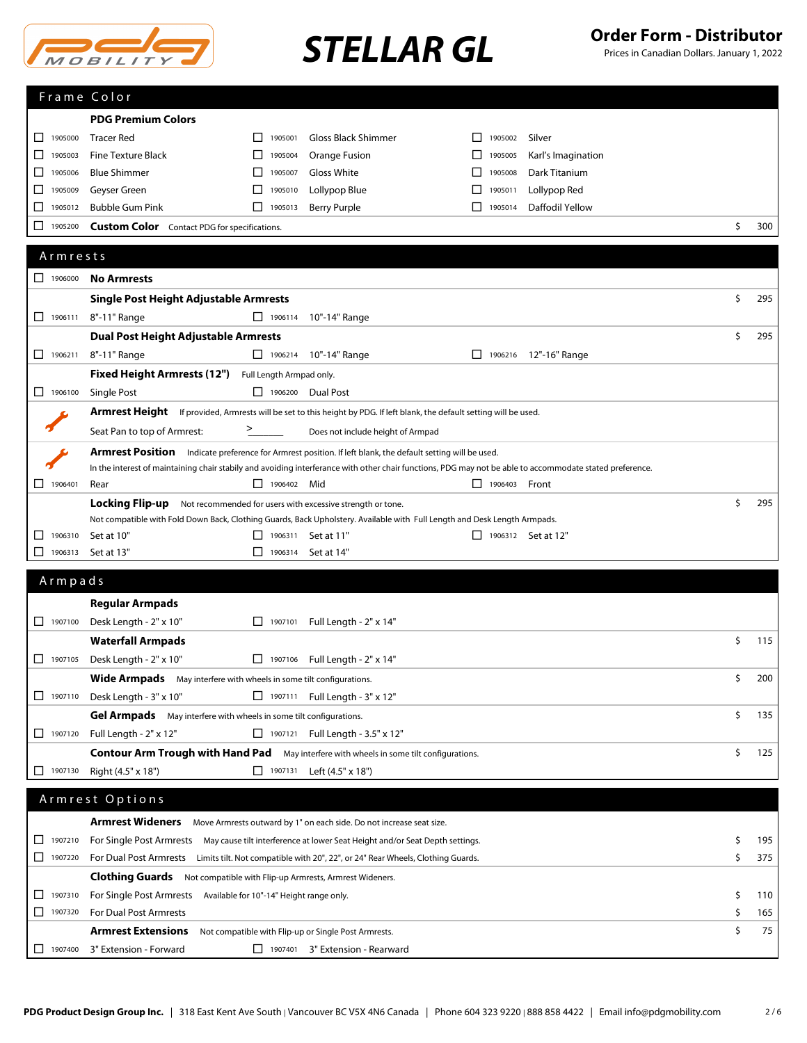

Prices in Canadian Dollars. January 1, 2022

|                               | Frame Color                                                                           |                    |                                                                                                                                                          |                |                           |           |
|-------------------------------|---------------------------------------------------------------------------------------|--------------------|----------------------------------------------------------------------------------------------------------------------------------------------------------|----------------|---------------------------|-----------|
|                               | <b>PDG Premium Colors</b>                                                             |                    |                                                                                                                                                          |                |                           |           |
| 1905000<br>ப                  | <b>Tracer Red</b>                                                                     | 1905001<br>$\Box$  | Gloss Black Shimmer                                                                                                                                      | 1905002        | Silver                    |           |
| 1905003<br>ப                  | <b>Fine Texture Black</b>                                                             | ⊔<br>1905004       | Orange Fusion                                                                                                                                            | 1905005<br>ப   | Karl's Imagination        |           |
| 1905006<br>ப                  | <b>Blue Shimmer</b>                                                                   | 1905007<br>⊔       | Gloss White                                                                                                                                              | ப<br>1905008   | Dark Titanium             |           |
| 1905009<br>ப                  | Geyser Green                                                                          | □<br>1905010       | Lollypop Blue                                                                                                                                            | □<br>1905011   | Lollypop Red              |           |
| 1905012<br>ப                  | <b>Bubble Gum Pink</b>                                                                | П<br>1905013       | <b>Berry Purple</b>                                                                                                                                      | П<br>1905014   | Daffodil Yellow           |           |
| 1905200<br>⊔                  | <b>Custom Color</b> Contact PDG for specifications.                                   |                    |                                                                                                                                                          |                |                           | \$<br>300 |
|                               |                                                                                       |                    |                                                                                                                                                          |                |                           |           |
| Armrests                      |                                                                                       |                    |                                                                                                                                                          |                |                           |           |
| $\boxed{\phantom{1}}$ 1906000 | <b>No Armrests</b>                                                                    |                    |                                                                                                                                                          |                |                           |           |
|                               | Single Post Height Adjustable Armrests                                                |                    |                                                                                                                                                          |                |                           | \$<br>295 |
| $\Box$ 1906111                | 8"-11" Range                                                                          |                    | □ 1906114 10"-14" Range                                                                                                                                  |                |                           |           |
|                               | <b>Dual Post Height Adjustable Armrests</b>                                           |                    |                                                                                                                                                          |                |                           | \$<br>295 |
| $\Box$ 1906211                | 8"-11" Range                                                                          |                    | □ 1906214 10"-14" Range                                                                                                                                  |                |                           |           |
|                               |                                                                                       |                    |                                                                                                                                                          |                | □ 1906216 12"-16" Range   |           |
|                               | Fixed Height Armrests (12") Full Length Armpad only.                                  |                    |                                                                                                                                                          |                |                           |           |
| $\Box$ 1906100                | Single Post                                                                           |                    | $\Box$ 1906200 Dual Post                                                                                                                                 |                |                           |           |
|                               |                                                                                       |                    | <b>Armrest Height</b> If provided, Armrests will be set to this height by PDG. If left blank, the default setting will be used.                          |                |                           |           |
|                               | Seat Pan to top of Armrest:                                                           |                    | Does not include height of Armpad                                                                                                                        |                |                           |           |
|                               |                                                                                       |                    | Armrest Position Indicate preference for Armrest position. If left blank, the default setting will be used.                                              |                |                           |           |
|                               |                                                                                       |                    | In the interest of maintaining chair stabily and avoiding interferance with other chair functions, PDG may not be able to accommodate stated preference. |                |                           |           |
| $\Box$ 1906401                | Rear                                                                                  | $\Box$ 1906402 Mid |                                                                                                                                                          | $\Box$ 1906403 | Front                     |           |
|                               | Locking Flip-up                                                                       |                    | Not recommended for users with excessive strength or tone.                                                                                               |                |                           | \$<br>295 |
|                               |                                                                                       |                    | Not compatible with Fold Down Back, Clothing Guards, Back Upholstery. Available with Full Length and Desk Length Armpads.                                |                |                           |           |
| 1906310<br>⊔                  | Set at 10"                                                                            | 1906311<br>ப       | Set at 11"                                                                                                                                               |                | $\Box$ 1906312 Set at 12" |           |
| ப<br>1906313                  | Set at 13"                                                                            | □<br>1906314       | Set at 14"                                                                                                                                               |                |                           |           |
| Armpads                       |                                                                                       |                    |                                                                                                                                                          |                |                           |           |
|                               | <b>Regular Armpads</b>                                                                |                    |                                                                                                                                                          |                |                           |           |
|                               | Desk Length - 2" x 10"                                                                |                    |                                                                                                                                                          |                |                           |           |
| $\Box$ 1907100                |                                                                                       | $\Box$ 1907101     | Full Length - 2" x 14"                                                                                                                                   |                |                           |           |
|                               | <b>Waterfall Armpads</b>                                                              |                    |                                                                                                                                                          |                |                           | \$<br>115 |
| 1907105                       | Desk Length - 2" x 10"                                                                |                    | $\Box$ 1907106 Full Length - 2" x 14"                                                                                                                    |                |                           |           |
|                               | <b>Wide Armpads</b> May interfere with wheels in some tilt configurations.            |                    |                                                                                                                                                          |                |                           | \$<br>200 |
|                               | $\Box$ 1907110 Desk Length - 3" x 10"                                                 |                    | □ 1907111 Full Length - 3" x 12"                                                                                                                         |                |                           |           |
|                               | Gel Armpads May interfere with wheels in some tilt configurations.                    |                    |                                                                                                                                                          |                |                           | \$<br>135 |
|                               | □ 1907120 Full Length - 2" x 12"                                                      |                    | $\Box$ 1907121 Full Length - 3.5" x 12"                                                                                                                  |                |                           |           |
|                               |                                                                                       |                    | <b>Contour Arm Trough with Hand Pad</b> May interfere with wheels in some tilt configurations.                                                           |                |                           | \$<br>125 |
| 1907130<br>ப                  | Right (4.5" x 18")                                                                    | $\Box$ 1907131     | Left (4.5" x 18")                                                                                                                                        |                |                           |           |
|                               |                                                                                       |                    |                                                                                                                                                          |                |                           |           |
|                               | Armrest Options                                                                       |                    |                                                                                                                                                          |                |                           |           |
|                               | Armrest Wideners Move Armrests outward by 1" on each side. Do not increase seat size. |                    |                                                                                                                                                          |                |                           |           |
| 1907210<br>ப                  |                                                                                       |                    | For Single Post Armrests May cause tilt interference at lower Seat Height and/or Seat Depth settings.                                                    |                |                           | \$<br>195 |
| 1907220                       |                                                                                       |                    | For Dual Post Armrests Limits tilt. Not compatible with 20", 22", or 24" Rear Wheels, Clothing Guards.                                                   |                |                           | \$<br>375 |
|                               | <b>Clothing Guards</b> Not compatible with Flip-up Armrests, Armrest Wideners.        |                    |                                                                                                                                                          |                |                           |           |
| 1907310<br>⊔                  | For Single Post Armrests Available for 10"-14" Height range only.                     |                    |                                                                                                                                                          |                |                           | \$<br>110 |
| 1907320                       | For Dual Post Armrests                                                                |                    |                                                                                                                                                          |                |                           | \$<br>165 |
|                               |                                                                                       |                    |                                                                                                                                                          |                |                           | \$<br>75  |
|                               | <b>Armrest Extensions</b>                                                             |                    | Not compatible with Flip-up or Single Post Armrests.                                                                                                     |                |                           |           |
| 1907400<br>$\mathsf{L}$       | 3" Extension - Forward                                                                | $\Box$ 1907401     | 3" Extension - Rearward                                                                                                                                  |                |                           |           |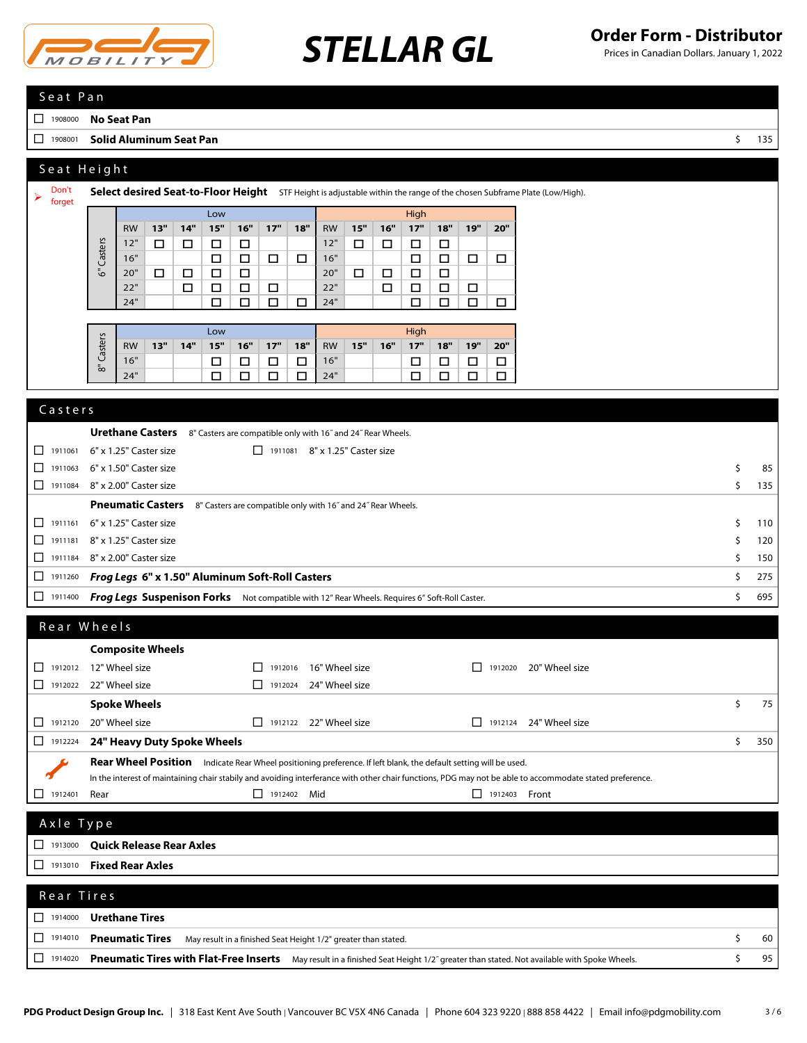

## **STELLAR GL Order Form - Distributor STELLAR GL Canadian Dollars. January 1, 2022**

Prices in Canadian Dollars. January 1, 2022

## S e a t P a n

<sup>1908000</sup> **No Seat Pan**

<sup>1908001</sup> **Solid Aluminum Seat Pan** \$ 135

## Seat Height

| Don't<br>forget |           | Select desired Seat-to-Floor Height STF Height is adjustable within the range of the chosen Subframe Plate (Low/High). |        |     |        |        |        |        |           |        |        |        |        |        |        |
|-----------------|-----------|------------------------------------------------------------------------------------------------------------------------|--------|-----|--------|--------|--------|--------|-----------|--------|--------|--------|--------|--------|--------|
|                 |           |                                                                                                                        |        |     | Low    |        |        |        |           |        |        | High   |        |        |        |
|                 |           | <b>RW</b>                                                                                                              | 13"    | 14" | 15"    | 16"    | 17"    | 18"    | <b>RW</b> | 15"    | 16"    | 17"    | 18"    | 19"    | 20"    |
|                 |           | 12"                                                                                                                    | $\Box$ | □   | □      | □      |        |        | 12"       | $\Box$ | $\Box$ | □      | $\Box$ |        |        |
|                 | Casters   | 16"                                                                                                                    |        |     | □      | □      | $\Box$ | $\Box$ | 16"       |        |        | □      | □      | $\Box$ | □      |
|                 | ৾৾৹       | 20"                                                                                                                    | □      | □   | □      | □      |        |        | 20"       | $\Box$ | $\Box$ | □      | $\Box$ |        |        |
|                 |           | 22"                                                                                                                    |        | □   | $\Box$ | □      | $\Box$ |        | 22"       |        | □      | □      | $\Box$ | $\Box$ |        |
|                 |           | 24"                                                                                                                    |        |     | □      | $\Box$ | $\Box$ | $\Box$ | 24"       |        |        | $\Box$ | □      | $\Box$ | $\Box$ |
|                 |           |                                                                                                                        |        |     |        |        |        |        |           |        |        |        |        |        |        |
|                 |           |                                                                                                                        |        |     | Low    |        |        |        |           |        |        | High   |        |        |        |
|                 | Casters   | <b>RW</b>                                                                                                              | 13"    | 14" | 15"    | 16"    | 17"    | 18"    | <b>RW</b> | 15"    | 16"    | 17"    | 18"    | 19"    | 20"    |
|                 | $\bar{5}$ | 16"                                                                                                                    |        |     | □      | □      | $\Box$ | $\Box$ | 16"       |        |        | □      | $\Box$ | $\Box$ | □      |
|                 |           | 24"                                                                                                                    |        |     | □      | $\Box$ | □      | $\Box$ | 24"       |        |        | □      | $\Box$ | $\Box$ | $\Box$ |
|                 |           |                                                                                                                        |        |     |        |        |        |        |           |        |        |        |        |        |        |

## **Urethane Casters** 8" Casters are compatible only with 16<sup>"</sup> and 24" Rear Wheels. <sup>1911061</sup> 6" x 1.25" Caster size <sup>1911081</sup> 8" x 1.25" Caster size  $\Box$  1911063 6" x 1.50" Caster size  $\Box$  1911063 6" x 1.50" Caster size  $\Box$  1911084 8" x 2.00" Caster size  $\Box$  135 **Pneumatic Casters** 8" Casters are compatible only with 16" and 24" Rear Wheels.  $\Box$  1911161 6" x 1.25" Caster size  $\Box$  110  $\Box$  1911181 8" x 1.25" Caster size  $\Box$  120  $\Box$  1911184 8" x 2.00" Caster size  $\Box$  150 <sup>1911260</sup> *Frog Legs* **6" x 1.50" Aluminum Soft-Roll Casters** \$ 275 <sup>1911400</sup> *Frog Legs* **Suspenison Forks** Not compatible with 12" Rear Wheels. Requires 6" Soft-Roll Caster. \$ 695 **Composite Wheels**  $\Box$  1912012 12" Wheel size  $\Box$  1912016 16" Wheel size  $\Box$  1912020 20" Wheel size <sup>1912022</sup> 22" Wheel size <sup>1912024</sup> 24" Wheel size **Casters** R e a r W h e e l s

| <b>L</b><br>1912022 | 22" Wheel size                  | I I | 1912024 | 24" Wheel size                                                                               |         |         |                                                                                                                                                          |   |     |
|---------------------|---------------------------------|-----|---------|----------------------------------------------------------------------------------------------|---------|---------|----------------------------------------------------------------------------------------------------------------------------------------------------------|---|-----|
|                     | <b>Spoke Wheels</b>             |     |         |                                                                                              |         |         |                                                                                                                                                          | s | 75  |
| □<br>1912120        | 20" Wheel size                  | ΙI  |         | 1912122 22" Wheel size                                                                       | $\perp$ | 1912124 | 24" Wheel size                                                                                                                                           |   |     |
| $\Box$<br>1912224   | 24" Heavy Duty Spoke Wheels     |     |         |                                                                                              |         |         |                                                                                                                                                          | Ś | 350 |
|                     | <b>Rear Wheel Position</b>      |     |         | Indicate Rear Wheel positioning preference. If left blank, the default setting will be used. |         |         |                                                                                                                                                          |   |     |
|                     |                                 |     |         |                                                                                              |         |         | In the interest of maintaining chair stabily and avoiding interferance with other chair functions, PDG may not be able to accommodate stated preference. |   |     |
| □<br>1912401        | Rear                            | H   | 1912402 | Mid                                                                                          | П       | 1912403 | Front                                                                                                                                                    |   |     |
|                     |                                 |     |         |                                                                                              |         |         |                                                                                                                                                          |   |     |
| Axle Type           |                                 |     |         |                                                                                              |         |         |                                                                                                                                                          |   |     |
| $\Box$<br>1913000   | <b>Quick Release Rear Axles</b> |     |         |                                                                                              |         |         |                                                                                                                                                          |   |     |
| □<br>1913010        | <b>Fixed Rear Axles</b>         |     |         |                                                                                              |         |         |                                                                                                                                                          |   |     |
|                     |                                 |     |         |                                                                                              |         |         |                                                                                                                                                          |   |     |
| Rear Tires          |                                 |     |         |                                                                                              |         |         |                                                                                                                                                          |   |     |
|                     |                                 |     |         |                                                                                              |         |         |                                                                                                                                                          |   |     |
| □<br>1914000        | <b>Urethane Tires</b>           |     |         |                                                                                              |         |         |                                                                                                                                                          |   |     |

<sup>1914020</sup> **Pneumatic Tires with Flat-Free Inserts** May result in a finished Seat Height 1/2˝ greater than stated. Not available with Spoke Wheels. \$ 95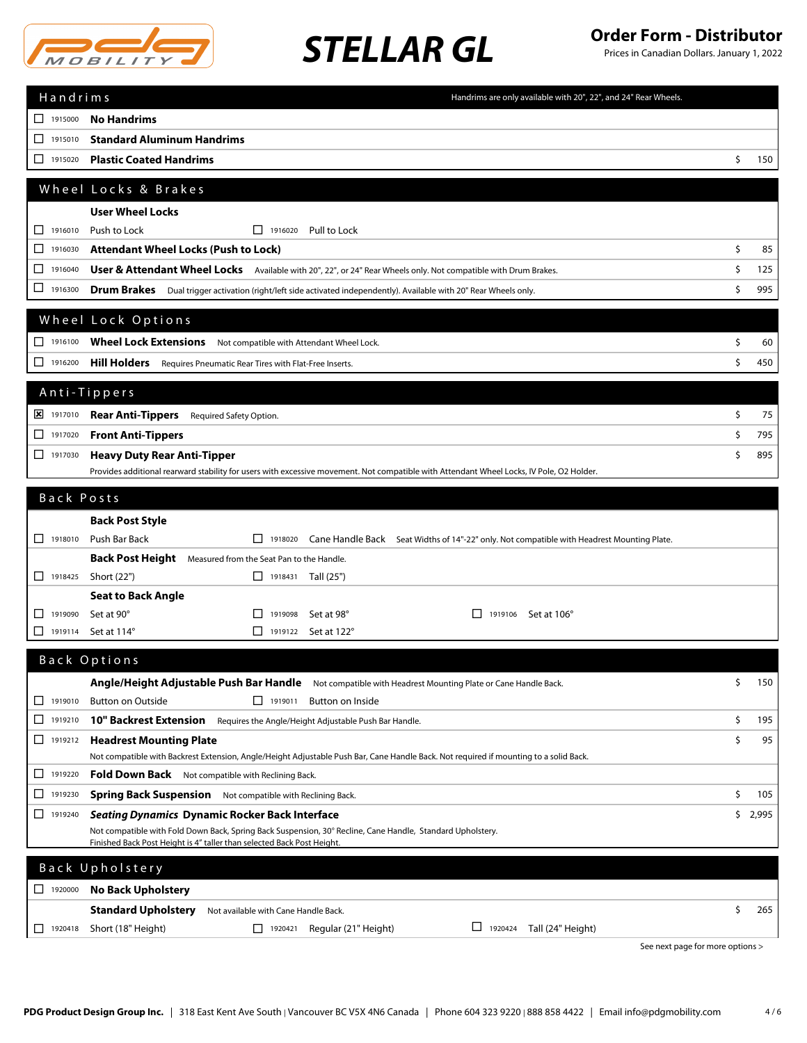

Prices in Canadian Dollars. January 1, 2022

| Handrims<br>Handrims are only available with 20", 22", and 24" Rear Wheels.                                                                                                          |                                  |         |
|--------------------------------------------------------------------------------------------------------------------------------------------------------------------------------------|----------------------------------|---------|
| 1915000<br><b>No Handrims</b>                                                                                                                                                        |                                  |         |
| <b>Standard Aluminum Handrims</b><br>◻<br>1915010                                                                                                                                    |                                  |         |
| <b>Plastic Coated Handrims</b><br>1915020<br>ப                                                                                                                                       | \$                               | 150     |
| Wheel Locks & Brakes                                                                                                                                                                 |                                  |         |
|                                                                                                                                                                                      |                                  |         |
| <b>User Wheel Locks</b><br>1916010                                                                                                                                                   |                                  |         |
| Push to Lock<br>$\Box$ 1916020 Pull to Lock<br>ப<br><b>Attendant Wheel Locks (Push to Lock)</b><br>□<br>1916030                                                                      | \$                               | 85      |
| ◻<br>1916040<br>User & Attendant Wheel Locks Available with 20", 22", or 24" Rear Wheels only. Not compatible with Drum Brakes.                                                      | \$                               | 125     |
| ⊔<br>1916300<br>Drum Brakes Dual trigger activation (right/left side activated independently). Available with 20" Rear Wheels only.                                                  | \$                               | 995     |
|                                                                                                                                                                                      |                                  |         |
| Wheel Lock Options                                                                                                                                                                   |                                  |         |
| $\Box$ 1916100<br>Wheel Lock Extensions Not compatible with Attendant Wheel Lock.                                                                                                    | \$                               | 60      |
| 1916200<br><b>Hill Holders</b><br>Requires Pneumatic Rear Tires with Flat-Free Inserts.                                                                                              | \$                               | 450     |
| Anti-Tippers                                                                                                                                                                         |                                  |         |
| X 1917010<br><b>Rear Anti-Tippers</b> Required Safety Option.                                                                                                                        | \$                               | 75      |
| □<br>1917020                                                                                                                                                                         | \$                               | 795     |
| <b>Front Anti-Tippers</b><br>$\Box$<br>1917030                                                                                                                                       | \$                               | 895     |
| <b>Heavy Duty Rear Anti-Tipper</b><br>Provides additional rearward stability for users with excessive movement. Not compatible with Attendant Wheel Locks, IV Pole, O2 Holder.       |                                  |         |
| Back Posts                                                                                                                                                                           |                                  |         |
|                                                                                                                                                                                      |                                  |         |
| <b>Back Post Style</b><br>$\Box$ 1918010<br>Push Bar Back<br>1918020                                                                                                                 |                                  |         |
| Cane Handle Back Seat Widths of 14"-22" only. Not compatible with Headrest Mounting Plate.<br>Back Post Height Measured from the Seat Pan to the Handle.                             |                                  |         |
| 1918425<br>Short (22")<br>$\Box$ 1918431 Tall (25")                                                                                                                                  |                                  |         |
| <b>Seat to Back Angle</b>                                                                                                                                                            |                                  |         |
| 1919090<br>□<br>Set at 90°<br>$\Box$ 1919098<br>Set at 98°<br>$\perp$<br>1919106 Set at 106°                                                                                         |                                  |         |
| 1919114<br>Set at 114°<br>$\Box$ 1919122 Set at 122°<br>ப                                                                                                                            |                                  |         |
| Back Options                                                                                                                                                                         |                                  |         |
| Angle/Height Adjustable Push Bar Handle Not compatible with Headrest Mounting Plate or Cane Handle Back.                                                                             | \$                               | 150     |
| <b>Button on Outside</b><br>$\Box$ 1919011<br>$\Box$ 1919010<br>Button on Inside                                                                                                     |                                  |         |
| □<br><b>10" Backrest Extension</b><br>1919210<br>Requires the Angle/Height Adjustable Push Bar Handle.                                                                               | \$                               | 195     |
| $\Box$<br>1919212<br><b>Headrest Mounting Plate</b>                                                                                                                                  | \$                               | 95      |
| Not compatible with Backrest Extension, Angle/Height Adjustable Push Bar, Cane Handle Back. Not required if mounting to a solid Back.                                                |                                  |         |
| 1919220<br>ш<br><b>Fold Down Back</b> Not compatible with Reclining Back.                                                                                                            |                                  |         |
| □<br>1919230<br><b>Spring Back Suspension</b> Not compatible with Reclining Back.                                                                                                    | \$                               | 105     |
| □<br>1919240<br><b>Seating Dynamics Dynamic Rocker Back Interface</b>                                                                                                                |                                  | \$2,995 |
| Not compatible with Fold Down Back, Spring Back Suspension, 30° Recline, Cane Handle, Standard Upholstery.<br>Finished Back Post Height is 4" taller than selected Back Post Height. |                                  |         |
| Back Upholstery                                                                                                                                                                      |                                  |         |
| $\Box$ 1920000<br><b>No Back Upholstery</b>                                                                                                                                          |                                  |         |
| <b>Standard Upholstery</b><br>Not available with Cane Handle Back.                                                                                                                   | \$                               | 265     |
| $\Box$ 1920424<br>1920418<br>Short (18" Height)<br>$\Box$ 1920421<br>Regular (21" Height)<br>Tall (24" Height)<br>ப                                                                  |                                  |         |
|                                                                                                                                                                                      | See next page for more options > |         |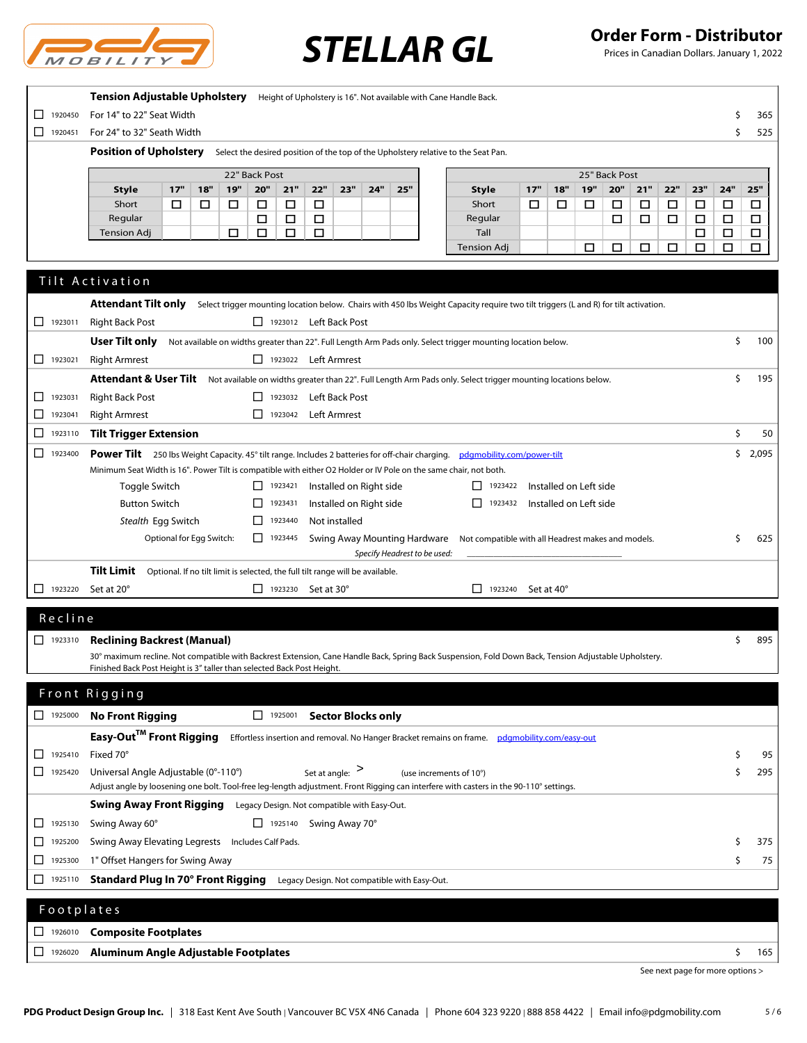

Prices in Canadian Dollars. January 1, 2022

|                | Tension Adjustable Upholstery Height of Upholstery is 16". Not available with Cane Handle Back.                                                                                                                                 |        |             |
|----------------|---------------------------------------------------------------------------------------------------------------------------------------------------------------------------------------------------------------------------------|--------|-------------|
| □<br>1920450   | For 14" to 22" Seat Width                                                                                                                                                                                                       | Ś      | 365         |
| $\Box$ 1920451 | For 24" to 32" Seath Width                                                                                                                                                                                                      | Ś      | 525         |
|                | <b>Position of Upholstery</b><br>Select the desired position of the top of the Upholstery relative to the Seat Pan.                                                                                                             |        |             |
|                | 22" Back Post<br>25" Back Post                                                                                                                                                                                                  |        |             |
|                | <b>19"</b><br>20"<br>21"<br>22"<br>25"<br>17"<br>19"<br>20"<br>21"<br>22"<br>23"<br>17"<br>18"<br>23"<br>24"<br>18"<br><b>Style</b><br>Style                                                                                    | 24"    | 25"         |
|                | Short<br>Short<br>□<br>□<br>□<br>□<br>□<br>□<br>□<br>□<br>□<br>□<br>□<br>□<br>□                                                                                                                                                 | □      | □           |
|                | Regular<br>□<br>□<br>□<br>□<br>$\Box$<br>$\Box$<br>Regular<br>□                                                                                                                                                                 | $\Box$ | $\Box$      |
|                | □<br>□<br>Tall<br><b>Tension Adj</b><br>□<br>□<br>□<br><b>Tension Adj</b><br>□<br>□<br>□<br>□<br>□                                                                                                                              | □<br>□ | $\Box$<br>□ |
|                |                                                                                                                                                                                                                                 |        |             |
|                | Tilt Activation                                                                                                                                                                                                                 |        |             |
|                |                                                                                                                                                                                                                                 |        |             |
|                | <b>Attendant Tilt only</b><br>Select trigger mounting location below. Chairs with 450 lbs Weight Capacity require two tilt triggers (L and R) for tilt activation.                                                              |        |             |
| $\Box$ 1923011 | <b>Right Back Post</b><br>1923012 Left Back Post                                                                                                                                                                                |        |             |
|                | User Tilt only<br>Not available on widths greater than 22". Full Length Arm Pads only. Select trigger mounting location below.                                                                                                  | \$     | 100         |
| $\Box$ 1923021 | <b>Right Armrest</b><br>1923022 Left Armrest                                                                                                                                                                                    |        |             |
|                | Attendant & User Tilt Not available on widths greater than 22". Full Length Arm Pads only. Select trigger mounting locations below.                                                                                             | \$     | 195         |
| 1923031<br>ப   | <b>Right Back Post</b><br>□ 1923032 Left Back Post                                                                                                                                                                              |        |             |
| □<br>1923041   | <b>Right Armrest</b><br>□ 1923042 Left Armrest                                                                                                                                                                                  |        |             |
| ⊔<br>1923110   | <b>Tilt Trigger Extension</b>                                                                                                                                                                                                   | \$     | 50          |
| □<br>1923400   | Power Tilt 250 lbs Weight Capacity. 45° tilt range. Includes 2 batteries for off-chair charging. pdgmobility.com/power-tilt                                                                                                     |        | \$2,095     |
|                | Minimum Seat Width is 16". Power Tilt is compatible with either O2 Holder or IV Pole on the same chair, not both.                                                                                                               |        |             |
|                | Installed on Right side<br>Installed on Left side<br>Toggle Switch<br>$\Box$ 1923421<br>$\boxed{\phantom{1}}$ 1923422                                                                                                           |        |             |
|                | <b>Button Switch</b><br>$\Box$<br>1923431<br>Installed on Right side<br>$\boxed{\phantom{1}}$ 1923432<br>Installed on Left side                                                                                                 |        |             |
|                | Stealth Egg Switch<br>$\Box$<br>1923440<br>Not installed                                                                                                                                                                        |        |             |
|                | Optional for Egg Switch:<br>$\Box$ 1923445<br>Swing Away Mounting Hardware<br>Not compatible with all Headrest makes and models.                                                                                                | \$     | 625         |
|                | Specify Headrest to be used:                                                                                                                                                                                                    |        |             |
|                | Tilt Limit<br>Optional. If no tilt limit is selected, the full tilt range will be available.                                                                                                                                    |        |             |
| 1923220        | $\Box$ 1923230 Set at 30°<br>Set at 20°<br>11323240<br>Set at 40°                                                                                                                                                               |        |             |
| Recline        |                                                                                                                                                                                                                                 |        |             |
|                |                                                                                                                                                                                                                                 |        |             |
| $\Box$ 1923310 | <b>Reclining Backrest (Manual)</b>                                                                                                                                                                                              | \$     | 895         |
|                | 30° maximum recline. Not compatible with Backrest Extension, Cane Handle Back, Spring Back Suspension, Fold Down Back, Tension Adjustable Upholstery.<br>Finished Back Post Height is 3" taller than selected Back Post Height. |        |             |
|                |                                                                                                                                                                                                                                 |        |             |
|                | Front Rigging                                                                                                                                                                                                                   |        |             |
| 1925000        | <b>No Front Rigging</b><br><b>Sector Blocks only</b><br>$\Box$ 1925001                                                                                                                                                          |        |             |
|                | Easy-Out <sup>™</sup> Front Rigging<br>Effortless insertion and removal. No Hanger Bracket remains on frame. pdgmobility.com/easy-out                                                                                           |        |             |
| 1925410<br>□   | Fixed 70°                                                                                                                                                                                                                       | \$     | 95          |
| □<br>1925420   | Universal Angle Adjustable (0°-110°)<br>Set at angle: $>$<br>(use increments of 10°)                                                                                                                                            | \$     | 295         |
|                | Adjust angle by loosening one bolt. Tool-free leg-length adjustment. Front Rigging can interfere with casters in the 90-110° settings.                                                                                          |        |             |
|                | <b>Swing Away Front Rigging</b><br>Legacy Design. Not compatible with Easy-Out.                                                                                                                                                 |        |             |
| 1925130<br>ப   | Swing Away 60°<br>$\Box$ 1925140 Swing Away 70°                                                                                                                                                                                 |        |             |
| 1925200<br>□   | Swing Away Elevating Legrests Includes Calf Pads.                                                                                                                                                                               | Ś      | 375         |
| □<br>1925300   | 1" Offset Hangers for Swing Away                                                                                                                                                                                                | \$     | 75          |
|                |                                                                                                                                                                                                                                 |        |             |
| ⊔<br>1925110   | Standard Plug In 70° Front Rigging Legacy Design. Not compatible with Easy-Out.                                                                                                                                                 |        |             |
| Footplates     |                                                                                                                                                                                                                                 |        |             |
| 1926010<br>□   | <b>Composite Footplates</b>                                                                                                                                                                                                     |        |             |
|                |                                                                                                                                                                                                                                 |        |             |
| 1926020<br>□   | Aluminum Angle Adjustable Footplates                                                                                                                                                                                            | \$     | 165         |

See next page for more options >